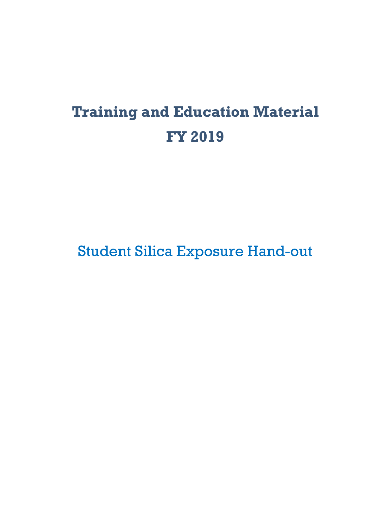# **Training and Education Material FY 2019**

Student Silica Exposure Hand-out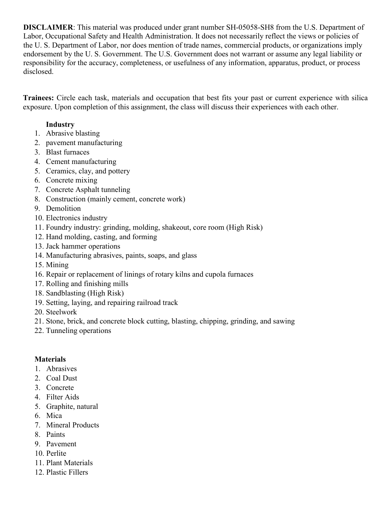responsibility for the accuracy, completeness, or usefulness of any information, apparatus, product, or process **DISCLAIMER**: This material was produced under grant number SH-05058-SH8 from the U.S. Department of Labor, Occupational Safety and Health Administration. It does not necessarily reflect the views or policies of the U. S. Department of Labor, nor does mention of trade names, commercial products, or organizations imply endorsement by the U. S. Government. The U.S. Government does not warrant or assume any legal liability or disclosed.

**Trainees:** Circle each task, materials and occupation that best fits your past or current experience with silica exposure. Upon completion of this assignment, the class will discuss their experiences with each other.

### **Industry**

- 1. Abrasive blasting
- 2. pavement manufacturing
- 3. Blast furnaces
- 4. Cement manufacturing
- 5. Ceramics, clay, and pottery
- 6. Concrete mixing
- 7. Concrete Asphalt tunneling
- 8. Construction (mainly cement, concrete work)
- 9. Demolition
- 10. Electronics industry
- 11. Foundry industry: grinding, molding, shakeout, core room (High Risk)
- 12. Hand molding, casting, and forming
- 13. Jack hammer operations
- 14. Manufacturing abrasives, paints, soaps, and glass
- 15. Mining
- 16. Repair or replacement of linings of rotary kilns and cupola furnaces
- 17. Rolling and finishing mills
- 18. Sandblasting (High Risk)
- 19. Setting, laying, and repairing railroad track
- 20. Steelwork
- 21. Stone, brick, and concrete block cutting, blasting, chipping, grinding, and sawing
- 22. Tunneling operations

### **Materials**

- 1. Abrasives
- 2. Coal Dust
- 3. Concrete
- 4. Filter Aids
- 5. Graphite, natural
- 6. Mica
- 7. Mineral Products
- 8. Paints
- 9. Pavement
- 10. Perlite
- 11. Plant Materials
- 12. Plastic Fillers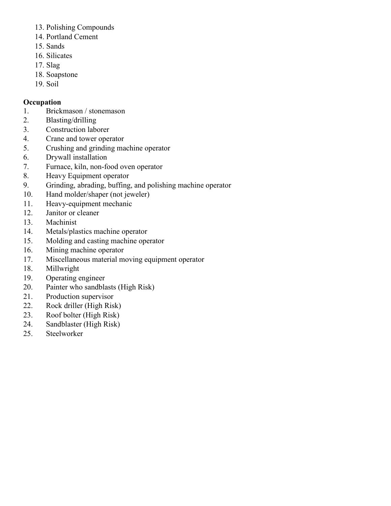- 13. Polishing Compounds
- 14. Portland Cement
- 15. Sands
- 16. Silicates
- 17. Slag
- 18. Soapstone
- 19. Soil

#### **Occupation**

- 1. Brickmason / stonemason
- 2. Blasting/drilling
- 3. Construction laborer
- 4. Crane and tower operator
- 5. Crushing and grinding machine operator
- 6. Drywall installation
- 7. Furnace, kiln, non-food oven operator
- 8. Heavy Equipment operator
- 9. Grinding, abrading, buffing, and polishing machine operator
- 10. Hand molder/shaper (not jeweler)
- 11. Heavy-equipment mechanic
- 12. Janitor or cleaner
- 13. Machinist
- 14. Metals/plastics machine operator
- 15. Molding and casting machine operator
- 16. Mining machine operator
- 17. Miscellaneous material moving equipment operator
- 18. Millwright
- 19. Operating engineer
- 20. Painter who sandblasts (High Risk)
- 21. Production supervisor
- 22. Rock driller (High Risk)
- 23. Roof bolter (High Risk)
- 24. Sandblaster (High Risk)
- 25. Steelworker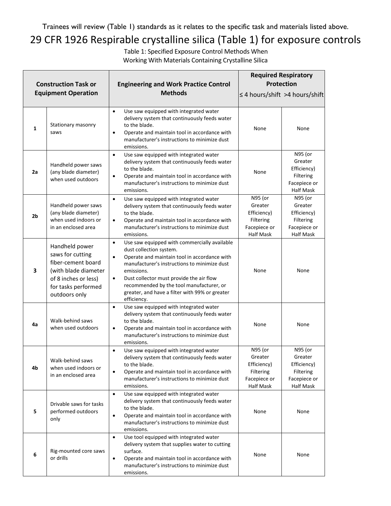Trainees will review (Table 1) standards as it relates to the specific task and materials listed above.

## 29 CFR 1926 Respirable crystalline silica (Table 1) for exposure controls

Table 1: Specified Exposure Control Methods When Working With Materials Containing Crystalline Silica

| <b>Construction Task or</b><br><b>Equipment Operation</b> |                                                                                                                                                  | <b>Engineering and Work Practice Control</b><br><b>Methods</b>                                                                                                                                                                                                                                                                                                                        | <b>Required Respiratory</b><br><b>Protection</b><br>≤ 4 hours/shift > 4 hours/shift |                                                                                    |
|-----------------------------------------------------------|--------------------------------------------------------------------------------------------------------------------------------------------------|---------------------------------------------------------------------------------------------------------------------------------------------------------------------------------------------------------------------------------------------------------------------------------------------------------------------------------------------------------------------------------------|-------------------------------------------------------------------------------------|------------------------------------------------------------------------------------|
| 1                                                         | Stationary masonry<br>saws                                                                                                                       | Use saw equipped with integrated water<br>$\bullet$<br>delivery system that continuously feeds water<br>to the blade.<br>Operate and maintain tool in accordance with<br>$\bullet$<br>manufacturer's instructions to minimize dust<br>emissions.                                                                                                                                      | None                                                                                | None                                                                               |
| 2a                                                        | Handheld power saws<br>(any blade diameter)<br>when used outdoors                                                                                | Use saw equipped with integrated water<br>$\bullet$<br>delivery system that continuously feeds water<br>to the blade.<br>Operate and maintain tool in accordance with<br>$\bullet$<br>manufacturer's instructions to minimize dust<br>emissions.                                                                                                                                      | None                                                                                | N95 (or<br>Greater<br>Efficiency)<br>Filtering<br>Facepiece or<br><b>Half Mask</b> |
| 2 <sub>b</sub>                                            | Handheld power saws<br>(any blade diameter)<br>when used indoors or<br>in an enclosed area                                                       | $\bullet$<br>Use saw equipped with integrated water<br>delivery system that continuously feeds water<br>to the blade.<br>Operate and maintain tool in accordance with<br>$\bullet$<br>manufacturer's instructions to minimize dust<br>emissions.                                                                                                                                      | N95 (or<br>Greater<br>Efficiency)<br>Filtering<br>Facepiece or<br><b>Half Mask</b>  | N95 (or<br>Greater<br>Efficiency)<br>Filtering<br>Facepiece or<br><b>Half Mask</b> |
| 3                                                         | Handheld power<br>saws for cutting<br>fiber-cement board<br>(with blade diameter<br>of 8 inches or less)<br>for tasks performed<br>outdoors only | Use saw equipped with commercially available<br>$\bullet$<br>dust collection system.<br>Operate and maintain tool in accordance with<br>$\bullet$<br>manufacturer's instructions to minimize dust<br>emissions.<br>Dust collector must provide the air flow<br>$\bullet$<br>recommended by the tool manufacturer, or<br>greater, and have a filter with 99% or greater<br>efficiency. | None                                                                                | None                                                                               |
| 4a                                                        | Walk-behind saws<br>when used outdoors                                                                                                           | Use saw equipped with integrated water<br>$\bullet$<br>delivery system that continuously feeds water<br>to the blade.<br>Operate and maintain tool in accordance with<br>$\bullet$<br>manufacturer's instructions to minimize dust<br>emissions.                                                                                                                                      | None                                                                                | None                                                                               |
| 4b                                                        | Walk-behind saws<br>when used indoors or<br>in an enclosed area                                                                                  | Use saw equipped with integrated water<br>$\bullet$<br>delivery system that continuously feeds water<br>to the blade.<br>Operate and maintain tool in accordance with<br>$\bullet$<br>manufacturer's instructions to minimize dust<br>emissions.                                                                                                                                      | N95 (or<br>Greater<br>Efficiency)<br>Filtering<br>Facepiece or<br><b>Half Mask</b>  | N95 (or<br>Greater<br>Efficiency)<br>Filtering<br>Facepiece or<br><b>Half Mask</b> |
| 5                                                         | Drivable saws for tasks<br>performed outdoors<br>only                                                                                            | Use saw equipped with integrated water<br>$\bullet$<br>delivery system that continuously feeds water<br>to the blade.<br>Operate and maintain tool in accordance with<br>$\bullet$<br>manufacturer's instructions to minimize dust<br>emissions.                                                                                                                                      | None                                                                                | None                                                                               |
| 6                                                         | Rig-mounted core saws<br>or drills                                                                                                               | Use tool equipped with integrated water<br>$\bullet$<br>delivery system that supplies water to cutting<br>surface.<br>Operate and maintain tool in accordance with<br>$\bullet$<br>manufacturer's instructions to minimize dust<br>emissions.                                                                                                                                         | None                                                                                | None                                                                               |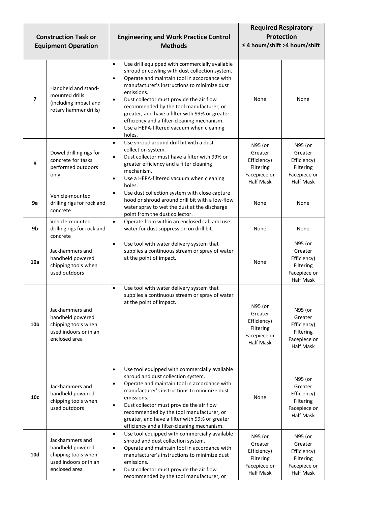| <b>Construction Task or</b><br><b>Equipment Operation</b> |                                                                                                      | <b>Engineering and Work Practice Control</b><br><b>Methods</b>                                                                                                                                                                                                                                                                                                                                                                                                                                                    | <b>Required Respiratory</b><br><b>Protection</b><br>≤ 4 hours/shift >4 hours/shift |                                                                                    |
|-----------------------------------------------------------|------------------------------------------------------------------------------------------------------|-------------------------------------------------------------------------------------------------------------------------------------------------------------------------------------------------------------------------------------------------------------------------------------------------------------------------------------------------------------------------------------------------------------------------------------------------------------------------------------------------------------------|------------------------------------------------------------------------------------|------------------------------------------------------------------------------------|
| $\overline{\phantom{a}}$                                  | Handheld and stand-<br>mounted drills<br>(including impact and<br>rotary hammer drills)              | Use drill equipped with commercially available<br>$\bullet$<br>shroud or cowling with dust collection system.<br>Operate and maintain tool in accordance with<br>$\bullet$<br>manufacturer's instructions to minimize dust<br>emissions.<br>Dust collector must provide the air flow<br>$\bullet$<br>recommended by the tool manufacturer, or<br>greater, and have a filter with 99% or greater<br>efficiency and a filter-cleaning mechanism.<br>Use a HEPA-filtered vacuum when cleaning<br>$\bullet$<br>holes. | None                                                                               | None                                                                               |
| 8                                                         | Dowel drilling rigs for<br>concrete for tasks<br>performed outdoors<br>only                          | Use shroud around drill bit with a dust<br>$\bullet$<br>collection system.<br>Dust collector must have a filter with 99% or<br>$\bullet$<br>greater efficiency and a filter cleaning<br>mechanism.<br>Use a HEPA-filtered vacuum when cleaning<br>$\bullet$<br>holes.                                                                                                                                                                                                                                             | N95 (or<br>Greater<br>Efficiency)<br>Filtering<br>Facepiece or<br><b>Half Mask</b> | N95 (or<br>Greater<br>Efficiency)<br>Filtering<br>Facepiece or<br><b>Half Mask</b> |
| 9a                                                        | Vehicle-mounted<br>drilling rigs for rock and<br>concrete                                            | Use dust collection system with close capture<br>$\bullet$<br>hood or shroud around drill bit with a low-flow<br>water spray to wet the dust at the discharge<br>point from the dust collector.                                                                                                                                                                                                                                                                                                                   | None                                                                               | None                                                                               |
| 9b                                                        | Vehicle-mounted<br>drilling rigs for rock and<br>concrete                                            | Operate from within an enclosed cab and use<br>$\bullet$<br>water for dust suppression on drill bit.                                                                                                                                                                                                                                                                                                                                                                                                              | None                                                                               | None                                                                               |
| 10a                                                       | Jackhammers and<br>handheld powered<br>chipping tools when<br>used outdoors                          | Use tool with water delivery system that<br>$\bullet$<br>supplies a continuous stream or spray of water<br>at the point of impact.                                                                                                                                                                                                                                                                                                                                                                                | None                                                                               | N95 (or<br>Greater<br>Efficiency)<br>Filtering<br>Facepiece or<br><b>Half Mask</b> |
| 10 <sub>b</sub>                                           | Jackhammers and<br>handheld powered<br>chipping tools when<br>used indoors or in an<br>enclosed area | Use tool with water delivery system that<br>$\bullet$<br>supplies a continuous stream or spray of water<br>at the point of impact.                                                                                                                                                                                                                                                                                                                                                                                | N95 (or<br>Greater<br>Efficiency)<br>Filtering<br>Facepiece or<br><b>Half Mask</b> | N95 (or<br>Greater<br>Efficiency)<br>Filtering<br>Facepiece or<br><b>Half Mask</b> |
| 10 <sub>c</sub>                                           | Jackhammers and<br>handheld powered<br>chipping tools when<br>used outdoors                          | Use tool equipped with commercially available<br>$\bullet$<br>shroud and dust collection system.<br>Operate and maintain tool in accordance with<br>$\bullet$<br>manufacturer's instructions to minimize dust<br>emissions.<br>Dust collector must provide the air flow<br>$\bullet$<br>recommended by the tool manufacturer, or<br>greater, and have a filter with 99% or greater<br>efficiency and a filter-cleaning mechanism.                                                                                 | None                                                                               | N95 (or<br>Greater<br>Efficiency)<br>Filtering<br>Facepiece or<br><b>Half Mask</b> |
| <b>10d</b>                                                | Jackhammers and<br>handheld powered<br>chipping tools when<br>used indoors or in an<br>enclosed area | Use tool equipped with commercially available<br>$\bullet$<br>shroud and dust collection system.<br>Operate and maintain tool in accordance with<br>$\bullet$<br>manufacturer's instructions to minimize dust<br>emissions.<br>Dust collector must provide the air flow<br>$\bullet$<br>recommended by the tool manufacturer, or                                                                                                                                                                                  | N95 (or<br>Greater<br>Efficiency)<br>Filtering<br>Facepiece or<br><b>Half Mask</b> | N95 (or<br>Greater<br>Efficiency)<br>Filtering<br>Facepiece or<br><b>Half Mask</b> |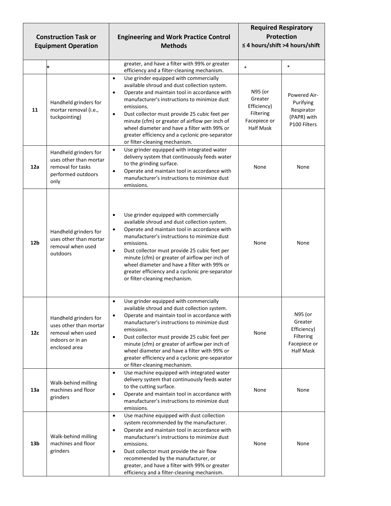| <b>Construction Task or</b><br><b>Equipment Operation</b> |                                                                                                           | <b>Engineering and Work Practice Control</b><br><b>Methods</b>                                                                                                                                                                                                                                                                                                                                                                                                                     | <b>Required Respiratory</b><br><b>Protection</b><br>≤ 4 hours/shift >4 hours/shift |                                                                                    |
|-----------------------------------------------------------|-----------------------------------------------------------------------------------------------------------|------------------------------------------------------------------------------------------------------------------------------------------------------------------------------------------------------------------------------------------------------------------------------------------------------------------------------------------------------------------------------------------------------------------------------------------------------------------------------------|------------------------------------------------------------------------------------|------------------------------------------------------------------------------------|
|                                                           | $\ast$                                                                                                    | greater, and have a filter with 99% or greater<br>efficiency and a filter-cleaning mechanism.                                                                                                                                                                                                                                                                                                                                                                                      | $\ast$                                                                             | $\ast$                                                                             |
| 11                                                        | Handheld grinders for<br>mortar removal (i.e.,<br>tuckpointing)                                           | Use grinder equipped with commercially<br>$\bullet$<br>available shroud and dust collection system.<br>Operate and maintain tool in accordance with<br>$\bullet$<br>manufacturer's instructions to minimize dust<br>emissions.<br>Dust collector must provide 25 cubic feet per<br>$\bullet$<br>minute (cfm) or greater of airflow per inch of<br>wheel diameter and have a filter with 99% or<br>greater efficiency and a cyclonic pre-separator<br>or filter-cleaning mechanism. | N95 (or<br>Greater<br>Efficiency)<br>Filtering<br>Facepiece or<br><b>Half Mask</b> | Powered Air-<br>Purifying<br>Respirator<br>(PAPR) with<br>P100 Filters             |
| 12a                                                       | Handheld grinders for<br>uses other than mortar<br>removal for tasks<br>performed outdoors<br>only        | Use grinder equipped with integrated water<br>$\bullet$<br>delivery system that continuously feeds water<br>to the grinding surface.<br>Operate and maintain tool in accordance with<br>$\bullet$<br>manufacturer's instructions to minimize dust<br>emissions.                                                                                                                                                                                                                    | None                                                                               | None                                                                               |
| 12 <sub>b</sub>                                           | Handheld grinders for<br>uses other than mortar<br>removal when used<br>outdoors                          | Use grinder equipped with commercially<br>$\bullet$<br>available shroud and dust collection system.<br>Operate and maintain tool in accordance with<br>$\bullet$<br>manufacturer's instructions to minimize dust<br>emissions.<br>Dust collector must provide 25 cubic feet per<br>$\bullet$<br>minute (cfm) or greater of airflow per inch of<br>wheel diameter and have a filter with 99% or<br>greater efficiency and a cyclonic pre-separator<br>or filter-cleaning mechanism. | None                                                                               | None                                                                               |
| 12c                                                       | Handheld grinders for<br>uses other than mortar<br>removal when used<br>indoors or in an<br>enclosed area | Use grinder equipped with commercially<br>$\bullet$<br>available shroud and dust collection system.<br>Operate and maintain tool in accordance with<br>$\bullet$<br>manufacturer's instructions to minimize dust<br>emissions.<br>Dust collector must provide 25 cubic feet per<br>$\bullet$<br>minute (cfm) or greater of airflow per inch of<br>wheel diameter and have a filter with 99% or<br>greater efficiency and a cyclonic pre-separator<br>or filter-cleaning mechanism. | None                                                                               | N95 (or<br>Greater<br>Efficiency)<br>Filtering<br>Facepiece or<br><b>Half Mask</b> |
| 13a                                                       | Walk-behind milling<br>machines and floor<br>grinders                                                     | Use machine equipped with integrated water<br>$\bullet$<br>delivery system that continuously feeds water<br>to the cutting surface.<br>Operate and maintain tool in accordance with<br>$\bullet$<br>manufacturer's instructions to minimize dust<br>emissions.                                                                                                                                                                                                                     | None                                                                               | None                                                                               |
| 13 <sub>b</sub>                                           | Walk-behind milling<br>machines and floor<br>grinders                                                     | Use machine equipped with dust collection<br>$\bullet$<br>system recommended by the manufacturer.<br>Operate and maintain tool in accordance with<br>$\bullet$<br>manufacturer's instructions to minimize dust<br>emissions.<br>Dust collector must provide the air flow<br>$\bullet$<br>recommended by the manufacturer, or<br>greater, and have a filter with 99% or greater<br>efficiency and a filter-cleaning mechanism.                                                      | None                                                                               | None                                                                               |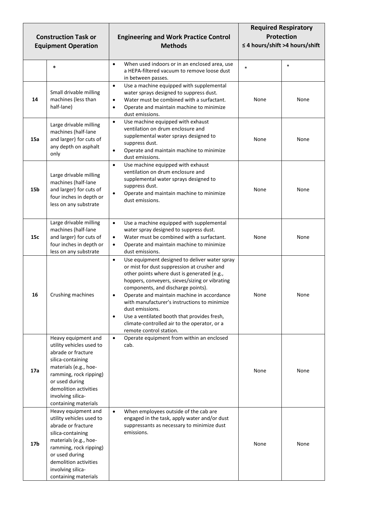| <b>Construction Task or</b><br><b>Equipment Operation</b> |                                                                                                                                                                                                                                       | <b>Engineering and Work Practice Control</b><br><b>Methods</b>                                                                                                                                                                                                                                                                                                                                                                                                                                           | <b>Required Respiratory</b><br><b>Protection</b><br>$\leq$ 4 hours/shift > 4 hours/shift |        |
|-----------------------------------------------------------|---------------------------------------------------------------------------------------------------------------------------------------------------------------------------------------------------------------------------------------|----------------------------------------------------------------------------------------------------------------------------------------------------------------------------------------------------------------------------------------------------------------------------------------------------------------------------------------------------------------------------------------------------------------------------------------------------------------------------------------------------------|------------------------------------------------------------------------------------------|--------|
|                                                           | $\ast$                                                                                                                                                                                                                                | When used indoors or in an enclosed area, use<br>$\bullet$<br>a HEPA-filtered vacuum to remove loose dust<br>in between passes.                                                                                                                                                                                                                                                                                                                                                                          | $\ast$                                                                                   | $\ast$ |
| 14                                                        | Small drivable milling<br>machines (less than<br>half-lane)                                                                                                                                                                           | Use a machine equipped with supplemental<br>$\bullet$<br>water sprays designed to suppress dust.<br>Water must be combined with a surfactant.<br>$\bullet$<br>Operate and maintain machine to minimize<br>$\bullet$<br>dust emissions.                                                                                                                                                                                                                                                                   | None                                                                                     | None   |
| 15a                                                       | Large drivable milling<br>machines (half-lane<br>and larger) for cuts of<br>any depth on asphalt<br>only                                                                                                                              | Use machine equipped with exhaust<br>$\bullet$<br>ventilation on drum enclosure and<br>supplemental water sprays designed to<br>suppress dust.<br>Operate and maintain machine to minimize<br>$\bullet$<br>dust emissions.                                                                                                                                                                                                                                                                               | None                                                                                     | None   |
| 15 <sub>b</sub>                                           | Large drivable milling<br>machines (half-lane<br>and larger) for cuts of<br>four inches in depth or<br>less on any substrate                                                                                                          | Use machine equipped with exhaust<br>$\bullet$<br>ventilation on drum enclosure and<br>supplemental water sprays designed to<br>suppress dust.<br>Operate and maintain machine to minimize<br>$\bullet$<br>dust emissions.                                                                                                                                                                                                                                                                               | None                                                                                     | None   |
| 15c                                                       | Large drivable milling<br>machines (half-lane<br>and larger) for cuts of<br>four inches in depth or<br>less on any substrate                                                                                                          | Use a machine equipped with supplemental<br>$\bullet$<br>water spray designed to suppress dust.<br>Water must be combined with a surfactant.<br>$\bullet$<br>Operate and maintain machine to minimize<br>$\bullet$<br>dust emissions.                                                                                                                                                                                                                                                                    | None                                                                                     | None   |
| 16                                                        | Crushing machines                                                                                                                                                                                                                     | Use equipment designed to deliver water spray<br>$\bullet$<br>or mist for dust suppression at crusher and<br>other points where dust is generated (e.g.,<br>hoppers, conveyers, sieves/sizing or vibrating<br>components, and discharge points).<br>Operate and maintain machine in accordance<br>$\bullet$<br>with manufacturer's instructions to minimize<br>dust emissions.<br>Use a ventilated booth that provides fresh,<br>climate-controlled air to the operator, or a<br>remote control station. | None                                                                                     | None   |
| 17a                                                       | Heavy equipment and<br>utility vehicles used to<br>abrade or fracture<br>silica-containing<br>materials (e.g., hoe-<br>ramming, rock ripping)<br>or used during<br>demolition activities<br>involving silica-<br>containing materials | Operate equipment from within an enclosed<br>$\bullet$<br>cab.                                                                                                                                                                                                                                                                                                                                                                                                                                           | None                                                                                     | None   |
| 17b                                                       | Heavy equipment and<br>utility vehicles used to<br>abrade or fracture<br>silica-containing<br>materials (e.g., hoe-<br>ramming, rock ripping)<br>or used during<br>demolition activities<br>involving silica-<br>containing materials | When employees outside of the cab are<br>$\bullet$<br>engaged in the task, apply water and/or dust<br>suppressants as necessary to minimize dust<br>emissions.                                                                                                                                                                                                                                                                                                                                           | None                                                                                     | None   |